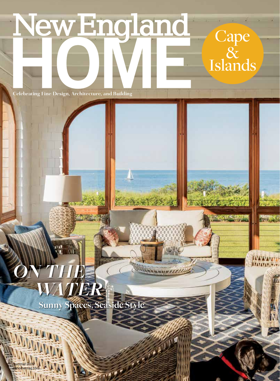New England

**Cape** 

 $\overline{\mathcal{X}}$ 

Islands

**Allegal** 

**Celebrating Fine Design, Architecture, and Building**

**Sunny Spaces, Seaside Style**

 $157$ 

**WESTERN CONTROL** 

*WATER*

Summer 2020 Summer 2020 nehomemag.com

*ON THE* 

**EVAN**  $7.11$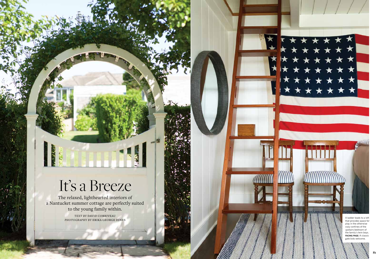**80 81**

## It's a Breeze

The relaxed, lighthearted interiors of a Nantucket summer cottage are perfectly suited to the young family within. *TEXT BY* DAVID CORRIVEAU

*PHOTOGRAPHY BY* ERIKA GEORGE DINES



▼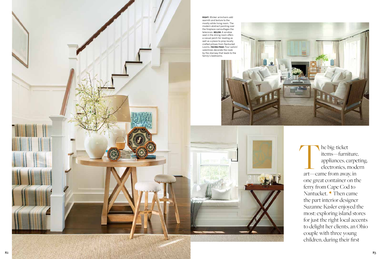**RIGHT:** Wicker armchairs add warmth and texture to the mostly white living room. The modern abstract painting over the fireplace camouflages the television. **BELOW:** A window seat in the dining room offers a casual perch for reading as well as a place to prop locally crafted pillows from Nantucket Looms. **FACING PAGE:** Four sailors' valentines decorate the nook by the stairway that leads to the family's bedrooms.



The big-ticket<br>
items—furniture<br>
appliances, carpe<br>
electronics, mode<br>
art—came from away, in items—furniture, appliances, carpeting, electronics, modern one great container on the ferry from Cape Cod to Nantucket. Then came the part interior designer Suzanne Kasler enjoyed the most: exploring island stores for just the right local accents to delight her clients, an Ohio couple with three young children, during their first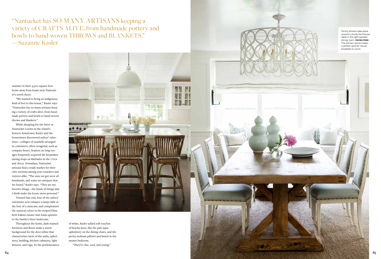summer in their 3,500-square-foot home away from home near Nantuck et's north shore.

"We wanted to bring an indigenous kind of feel to this house," Kasler says. "Nantucket has so many artisans keep ing a variety of crafts alive, from hand made pottery and bowls to hand-woven throws and blankets."

While shopping for the latter at Nantucket Looms in the island's historic downtown, Kasler and the homeowner discovered sailors' valen tines—collages of seashells arranged in containers, often octagonal, such as compass boxes. Seamen on long voy ages frequently acquired the keepsakes during stops on Barbados in the 1700s and 1800s. Nowadays, Nantucket artisans find a ready market for their own versions among year-rounders and visitors alike. "The ones we got were all handmade, and some are antiques that we found," Kasler says. "They are my favorite things—the kinds of things that I think make the house more personal."



Toward that end, four of the sailors' valentines now enhance a lamp table at the foot of a staircase, and complement the nautical colors in the striped Eliza beth Eakins runner that leads upstairs to the family's three bedrooms.

Throughout the home, dark-stained furniture and floors make a warm background for the dove-white that characterizes most of the walls, uphol stery, bedding, kitchen cabinetry, light fixtures, and rugs. To the predominance



of white, Kasler added soft touches of beachy hues, like the pale aqua upholstery on the dining chairs, and the pretty seafoam pillows and bench in the master bedroom.

"They're chic, cool, and young,"

"Nantucket has SO MANY ARTISANS keeping a variety of CRAFTS ALIVE, from handmade pottery and bowls to hand-woven THROWS and BLANKETS." —Suzanne Kasler